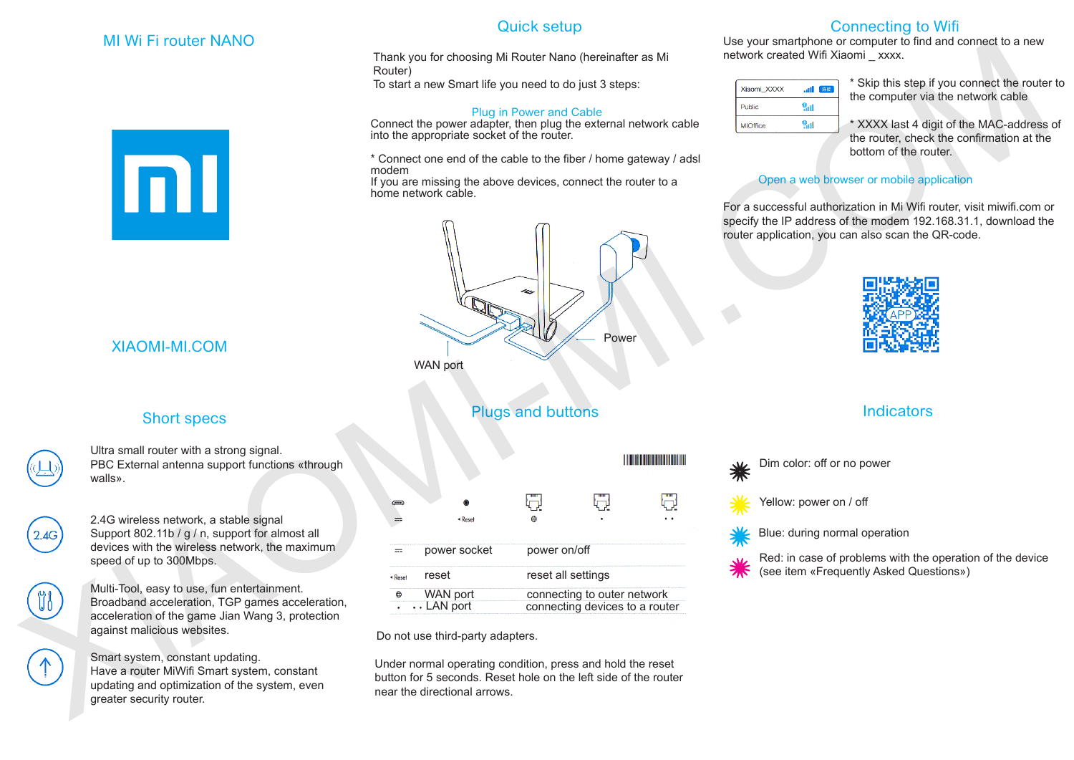### MI Wi Fi router NANO



### Quick setup

#### Plug in Power and Cable



### Short specs



# Plugs and buttons

|                    | <b>MI WI FI FOULER NANO</b><br>mı                                                                                                                                                 | Thank you for choosing Mi Router Nano (hereinafter as Mi<br>Router)<br>To start a new Smart life you need to do just 3 steps:<br><b>Plug in Power and Cable</b><br>Connect the power adapter, then plug the external network cable<br>into the appropriate socket of the router.<br>* Connect one end of the cable to the fiber / home gateway / adsl<br>modem<br>If you are missing the above devices, connect the router to a<br>home network cable.<br>n |                    |       |                               | Use your smartphone or computer to find and connect to a new<br>network created Wifi Xiaomi _ xxxx.<br>* Skip this step if you connect the route<br>Xiaomi_XXXX<br>田 连接<br>the computer via the network cable<br>9 <sub>111</sub><br>Public<br>9 <sub>all</sub><br>* XXXX last 4 digit of the MAC-address<br>MIOffice<br>the router, check the confirmation at the<br>bottom of the router.<br>Open a web browser or mobile application<br>For a successful authorization in Mi Wifi router, visit miwifi.com o<br>specify the IP address of the modem 192.168.31.1, download the<br>router application, you can also scan the QR-code. |                            |                                                                                                      |  |  |  |
|--------------------|-----------------------------------------------------------------------------------------------------------------------------------------------------------------------------------|-------------------------------------------------------------------------------------------------------------------------------------------------------------------------------------------------------------------------------------------------------------------------------------------------------------------------------------------------------------------------------------------------------------------------------------------------------------|--------------------|-------|-------------------------------|-----------------------------------------------------------------------------------------------------------------------------------------------------------------------------------------------------------------------------------------------------------------------------------------------------------------------------------------------------------------------------------------------------------------------------------------------------------------------------------------------------------------------------------------------------------------------------------------------------------------------------------------|----------------------------|------------------------------------------------------------------------------------------------------|--|--|--|
|                    | <b>XIAOMI-MI.COM</b>                                                                                                                                                              | <b>WAN port</b>                                                                                                                                                                                                                                                                                                                                                                                                                                             |                    | Power |                               |                                                                                                                                                                                                                                                                                                                                                                                                                                                                                                                                                                                                                                         |                            |                                                                                                      |  |  |  |
| <b>Short specs</b> |                                                                                                                                                                                   | <b>Plugs and buttons</b>                                                                                                                                                                                                                                                                                                                                                                                                                                    |                    |       |                               | <b>Indicators</b>                                                                                                                                                                                                                                                                                                                                                                                                                                                                                                                                                                                                                       |                            |                                                                                                      |  |  |  |
|                    | Ultra small router with a strong signal.<br>PBC External antenna support functions «through<br>walls».                                                                            |                                                                                                                                                                                                                                                                                                                                                                                                                                                             |                    |       | <b>The Communist Property</b> | *                                                                                                                                                                                                                                                                                                                                                                                                                                                                                                                                                                                                                                       | Dim color: off or no power |                                                                                                      |  |  |  |
|                    | 2.4G wireless network, a stable signal                                                                                                                                            | $\equiv$<br>◀ Reset                                                                                                                                                                                                                                                                                                                                                                                                                                         | Q.<br>⊕            | Q     | 난<br>$\bullet$ . $\bullet$ .  |                                                                                                                                                                                                                                                                                                                                                                                                                                                                                                                                                                                                                                         | Yellow: power on / off     |                                                                                                      |  |  |  |
| 2.4G               | Support 802.11b / g / n, support for almost all<br>devices with the wireless network, the maximum                                                                                 | power socket<br>$\overline{\phantom{m}}$                                                                                                                                                                                                                                                                                                                                                                                                                    | power on/off       |       |                               |                                                                                                                                                                                                                                                                                                                                                                                                                                                                                                                                                                                                                                         |                            | Blue: during normal operation                                                                        |  |  |  |
|                    | speed of up to 300Mbps.                                                                                                                                                           | reset<br><sup>★</sup> Rese                                                                                                                                                                                                                                                                                                                                                                                                                                  | reset all settings |       |                               |                                                                                                                                                                                                                                                                                                                                                                                                                                                                                                                                                                                                                                         |                            | Red: in case of problems with the operation of the device<br>(see item «Frequently Asked Questions») |  |  |  |
| <b>U6</b>          | Multi-Tool, easy to use, fun entertainment.<br>Broadband acceleration, TGP games acceleration,<br>acceleration of the game Jian Wang 3, protection<br>against malicious websites. | WAN port<br>connecting to outer network<br>$\cdots$ LAN port<br>connecting devices to a router<br>Do not use third-party adapters.<br>Under normal operating condition, press and hold the reset<br>button for 5 seconds. Reset hole on the left side of the router<br>near the directional arrows.                                                                                                                                                         |                    |       |                               |                                                                                                                                                                                                                                                                                                                                                                                                                                                                                                                                                                                                                                         |                            |                                                                                                      |  |  |  |
|                    | Smart system, constant updating.<br>Have a router MiWifi Smart system, constant<br>updating and optimization of the system, even<br>greater security router.                      |                                                                                                                                                                                                                                                                                                                                                                                                                                                             |                    |       |                               |                                                                                                                                                                                                                                                                                                                                                                                                                                                                                                                                                                                                                                         |                            |                                                                                                      |  |  |  |

# Connecting to Wifi

Use your smartphone or computer to find and connect to a new network created Wifi Xiaomi \_ xxxx.

| Xiaomi_XXXX   | اس |
|---------------|----|
| <b>Public</b> |    |
| MIOffice      |    |

\* Skip this step if you connect the router to the computer via the network cable

\* XXXX last 4 digit of the MAC-address of the router, check the confirmation at the bottom of the router.

### Open a web browser or mobile application



# **Indicators**